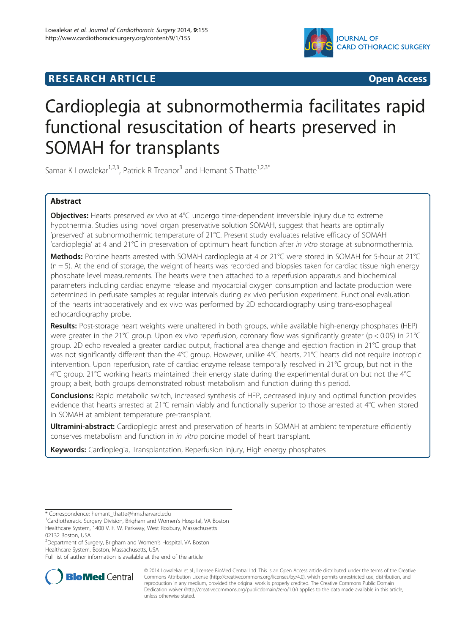

# **RESEARCH ARTICLE CONSUMING A RESEARCH ARTICLE**

# Cardioplegia at subnormothermia facilitates rapid functional resuscitation of hearts preserved in SOMAH for transplants

Samar K Lowalekar<sup>1,2,3</sup>, Patrick R Treanor<sup>3</sup> and Hemant S Thatte<sup>1,2,3\*</sup>

# Abstract

Objectives: Hearts preserved ex vivo at 4°C undergo time-dependent irreversible injury due to extreme hypothermia. Studies using novel organ preservative solution SOMAH, suggest that hearts are optimally 'preserved' at subnormothermic temperature of 21°C. Present study evaluates relative efficacy of SOMAH 'cardioplegia' at 4 and 21°C in preservation of optimum heart function after in vitro storage at subnormothermia.

Methods: Porcine hearts arrested with SOMAH cardioplegia at 4 or 21°C were stored in SOMAH for 5-hour at 21°C  $(n = 5)$ . At the end of storage, the weight of hearts was recorded and biopsies taken for cardiac tissue high energy phosphate level measurements. The hearts were then attached to a reperfusion apparatus and biochemical parameters including cardiac enzyme release and myocardial oxygen consumption and lactate production were determined in perfusate samples at regular intervals during ex vivo perfusion experiment. Functional evaluation of the hearts intraoperatively and ex vivo was performed by 2D echocardiography using trans-esophageal echocardiography probe.

Results: Post-storage heart weights were unaltered in both groups, while available high-energy phosphates (HEP) were greater in the 21°C group. Upon ex vivo reperfusion, coronary flow was significantly greater ( $p < 0.05$ ) in 21°C group. 2D echo revealed a greater cardiac output, fractional area change and ejection fraction in 21°C group that was not significantly different than the 4°C group. However, unlike 4°C hearts, 21°C hearts did not require inotropic intervention. Upon reperfusion, rate of cardiac enzyme release temporally resolved in 21°C group, but not in the 4°C group. 21°C working hearts maintained their energy state during the experimental duration but not the 4°C group; albeit, both groups demonstrated robust metabolism and function during this period.

Conclusions: Rapid metabolic switch, increased synthesis of HEP, decreased injury and optimal function provides evidence that hearts arrested at 21°C remain viably and functionally superior to those arrested at 4°C when stored in SOMAH at ambient temperature pre-transplant.

Ultramini-abstract: Cardioplegic arrest and preservation of hearts in SOMAH at ambient temperature efficiently conserves metabolism and function in in vitro porcine model of heart transplant.

Keywords: Cardioplegia, Transplantation, Reperfusion injury, High energy phosphates

02132 Boston, USA

Full list of author information is available at the end of the article



<sup>© 2014</sup> Lowalekar et al.; licensee BioMed Central Ltd. This is an Open Access article distributed under the terms of the Creative Commons Attribution License [\(http://creativecommons.org/licenses/by/4.0\)](http://creativecommons.org/licenses/by/4.0), which permits unrestricted use, distribution, and reproduction in any medium, provided the original work is properly credited. The Creative Commons Public Domain Dedication waiver [\(http://creativecommons.org/publicdomain/zero/1.0/](http://creativecommons.org/publicdomain/zero/1.0/)) applies to the data made available in this article, unless otherwise stated.

<sup>\*</sup> Correspondence: [hemant\\_thatte@hms.harvard.edu](mailto:hemant_thatte@hms.harvard.edu) <sup>1</sup>

<sup>&</sup>lt;sup>1</sup>Cardiothoracic Surgery Division, Brigham and Women's Hospital, VA Boston Healthcare System, 1400 V. F. W. Parkway, West Roxbury, Massachusetts

<sup>2</sup> Department of Surgery, Brigham and Women's Hospital, VA Boston Healthcare System, Boston, Massachusetts, USA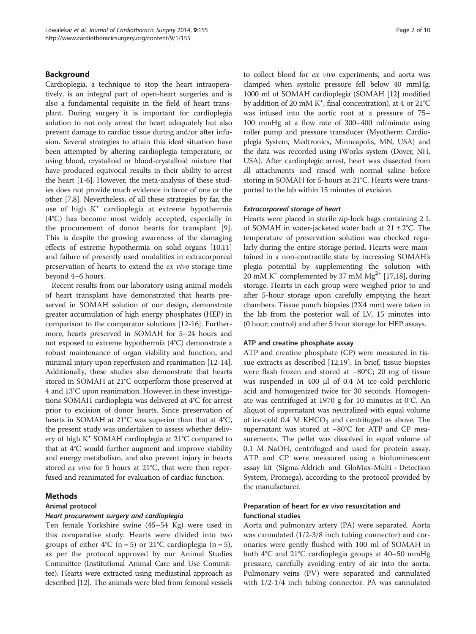#### Background

Cardioplegia, a technique to stop the heart intraoperatively, is an integral part of open-heart surgeries and is also a fundamental requisite in the field of heart transplant. During surgery it is important for cardioplegia solution to not only arrest the heart adequately but also prevent damage to cardiac tissue during and/or after infusion. Several strategies to attain this ideal situation have been attempted by altering cardioplegia temperature, or using blood, crystalloid or blood-crystalloid mixture that have produced equivocal results in their ability to arrest the heart [\[1](#page-8-0)-[6\]](#page-9-0). However, the meta-analysis of these studies does not provide much evidence in favor of one or the other [\[7,8](#page-9-0)]. Nevertheless, of all these strategies by far, the use of high  $K^+$  cardioplegia at extreme hypothermia (4°C) has become most widely accepted, especially in the procurement of donor hearts for transplant [\[9](#page-9-0)]. This is despite the growing awareness of the damaging effects of extreme hypothermia on solid organs [\[10,11](#page-9-0)] and failure of presently used modalities in extracorporeal preservation of hearts to extend the ex vivo storage time beyond 4–6 hours.

Recent results from our laboratory using animal models of heart transplant have demonstrated that hearts preserved in SOMAH solution of our design, demonstrate greater accumulation of high energy phosphates (HEP) in comparison to the comparator solutions [\[12-16\]](#page-9-0). Furthermore, hearts preserved in SOMAH for 5–24 hours and not exposed to extreme hypothermia (4°C) demonstrate a robust maintenance of organ viability and function, and minimal injury upon reperfusion and reanimation [[12](#page-9-0)-[14](#page-9-0)]. Additionally, these studies also demonstrate that hearts stored in SOMAH at 21°C outperform those preserved at 4 and 13°C upon reanimation. However, in these investigations SOMAH cardioplegia was delivered at 4°C for arrest prior to excision of donor hearts. Since preservation of hearts in SOMAH at 21°C was superior than that at 4°C, the present study was undertaken to assess whether delivery of high K+ SOMAH cardioplegia at 21°C compared to that at 4°C would further augment and improve viability and energy metabolism, and also prevent injury in hearts stored ex vivo for 5 hours at 21°C, that were then reperfused and reanimated for evaluation of cardiac function.

#### Methods

#### Animal protocol

# Heart procurement surgery and cardioplegia

Ten female Yorkshire swine (45–54 Kg) were used in this comparative study. Hearts were divided into two groups of either 4°C ( $n = 5$ ) or 21°C cardioplegia ( $n = 5$ ), as per the protocol approved by our Animal Studies Committee (Institutional Animal Care and Use Committee). Hearts were extracted using mediastinal approach as described [[12](#page-9-0)]. The animals were bled from femoral vessels to collect blood for ex vivo experiments, and aorta was clamped when systolic pressure fell below 40 mmHg. 1000 ml of SOMAH cardioplegia (SOMAH [[12](#page-9-0)] modified by addition of 20 mM K<sup>+</sup>, final concentration), at 4 or 21°C was infused into the aortic root at a pressure of 75– 100 mmHg at a flow rate of 300–400 ml/minute using roller pump and pressure transducer (Myotherm Cardioplegia System, Medtronics, Minneapolis, MN, USA) and the data was recorded using iWorks system (Dover, NH, USA). After cardioplegic arrest, heart was dissected from all attachments and rinsed with normal saline before storing in SOMAH for 5-hours at 21°C. Hearts were transported to the lab within 15 minutes of excision.

#### Extracorporeal storage of heart

Hearts were placed in sterile zip-lock bags containing 2 L of SOMAH in water-jacketed water bath at  $21 \pm 2^{\circ}$ C. The temperature of preservation solution was checked regularly during the entire storage period. Hearts were maintained in a non-contractile state by increasing SOMAH's plegia potential by supplementing the solution with 20 mM K<sup>+</sup> complemented by 37 mM Mg<sup>2+</sup> [\[17,18](#page-9-0)], during storage. Hearts in each group were weighed prior to and after 5-hour storage upon carefully emptying the heart chambers. Tissue punch biopsies (2X4 mm) were taken in the lab from the posterior wall of LV, 15 minutes into (0 hour; control) and after 5 hour storage for HEP assays.

#### ATP and creatine phosphate assay

ATP and creatine phosphate (CP) were measured in tissue extracts as described [\[12,19](#page-9-0)]. In brief, tissue biopsies were flash frozen and stored at −80°C; 20 mg of tissue was suspended in 400 μl of 0.4 M ice-cold perchloric acid and homogenized twice for 30 seconds. Homogenate was centrifuged at 1970 g for 10 minutes at 0°C. An aliquot of supernatant was neutralized with equal volume of ice-cold 0.4 M KHCO<sub>3</sub> and centrifuged as above. The supernatant was stored at −80°C for ATP and CP measurements. The pellet was dissolved in equal volume of 0.1 M NaOH, centrifuged and used for protein assay. ATP and CP were measured using a bioluminescent assay kit (Sigma-Aldrich and GloMax-Multi + Detection System, Promega), according to the protocol provided by the manufacturer.

#### Preparation of heart for ex vivo resuscitation and functional studies

Aorta and pulmonary artery (PA) were separated. Aorta was cannulated (1/2-3/8 inch tubing connector) and coronaries were gently flushed with 100 ml of SOMAH in both 4°C and 21°C cardioplegia groups at 40–50 mmHg pressure, carefully avoiding entry of air into the aorta. Pulmonary veins (PV) were separated and cannulated with 1/2-1/4 inch tubing connector. PA was cannulated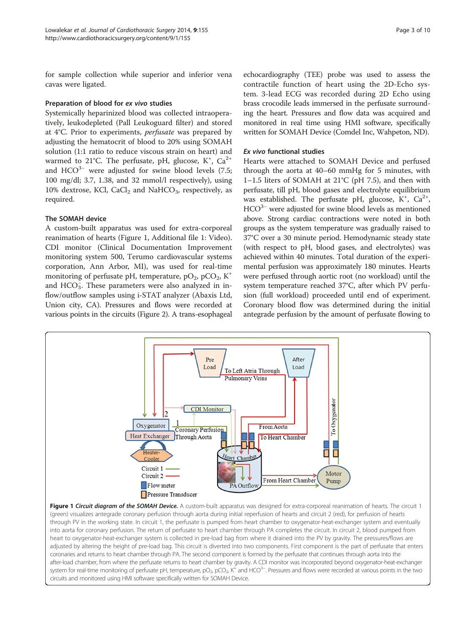for sample collection while superior and inferior vena cavas were ligated.

#### Preparation of blood for ex vivo studies

Systemically heparinized blood was collected intraoperatively, leukodepleted (Pall Leukoguard filter) and stored at 4°C. Prior to experiments, perfusate was prepared by adjusting the hematocrit of blood to 20% using SOMAH solution (1:1 ratio to reduce viscous strain on heart) and warmed to 21°C. The perfusate, pH, glucose,  $K^+$ ,  $Ca^{2+}$ and HCO<sup>3−</sup> were adjusted for swine blood levels (7.5; 100 mg/dl; 3.7, 1.38, and 32 mmol/l respectively), using 10% dextrose, KCl, CaCl<sub>2</sub> and NaHCO<sub>3</sub>, respectively, as required.

# The SOMAH device

A custom-built apparatus was used for extra-corporeal reanimation of hearts (Figure 1, Additional file [1](#page-8-0): Video). CDI monitor (Clinical Documentation Improvement monitoring system 500, Terumo cardiovascular systems corporation, Ann Arbor, MI), was used for real-time monitoring of perfusate pH, temperature,  $pO_2$ ,  $pCO_2$ , K<sup>+</sup> and  $HCO<sub>3</sub>$ . These parameters were also analyzed in inflow/outflow samples using i-STAT analyzer (Abaxis Ltd, Union city, CA). Pressures and flows were recorded at various points in the circuits (Figure [2](#page-3-0)). A trans-esophageal echocardiography (TEE) probe was used to assess the contractile function of heart using the 2D-Echo system. 3-lead ECG was recorded during 2D Echo using brass crocodile leads immersed in the perfusate surrounding the heart. Pressures and flow data was acquired and monitored in real time using HMI software, specifically written for SOMAH Device (Comdel Inc, Wahpeton, ND).

#### Ex vivo functional studies

Hearts were attached to SOMAH Device and perfused through the aorta at 40–60 mmHg for 5 minutes, with 1–1.5 liters of SOMAH at 21°C (pH 7.5), and then with perfusate, till pH, blood gases and electrolyte equilibrium was established. The perfusate pH, glucose,  $K^+$ ,  $Ca^{2+}$ , HCO<sup>3−</sup> were adjusted for swine blood levels as mentioned above. Strong cardiac contractions were noted in both groups as the system temperature was gradually raised to 37°C over a 30 minute period. Hemodynamic steady state (with respect to pH, blood gases, and electrolytes) was achieved within 40 minutes. Total duration of the experimental perfusion was approximately 180 minutes. Hearts were perfused through aortic root (no workload) until the system temperature reached 37°C, after which PV perfusion (full workload) proceeded until end of experiment. Coronary blood flow was determined during the initial antegrade perfusion by the amount of perfusate flowing to



after-load chamber, from where the perfusate returns to heart chamber by gravity. A CDI monitor was incorporated beyond oxygenator-heat-exchanger system for real-time monitoring of perfusate pH, temperature, pO<sub>2</sub>, pCO<sub>2</sub>, K<sup>+</sup> and HCO<sup>3−</sup>. Pressures and flows were recorded at various points in the two circuits and monitored using HMI software specifically written for SOMAH Device.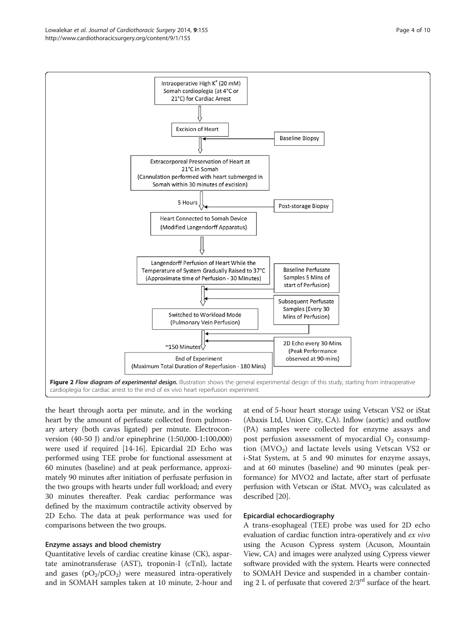<span id="page-3-0"></span>

the heart through aorta per minute, and in the working heart by the amount of perfusate collected from pulmonary artery (both cavas ligated) per minute. Electroconversion (40-50 J) and/or epinephrine (1:50,000-1:100,000) were used if required [\[14-16\]](#page-9-0). Epicardial 2D Echo was performed using TEE probe for functional assessment at 60 minutes (baseline) and at peak performance, approximately 90 minutes after initiation of perfusate perfusion in the two groups with hearts under full workload; and every 30 minutes thereafter. Peak cardiac performance was defined by the maximum contractile activity observed by 2D Echo. The data at peak performance was used for comparisons between the two groups.

#### Enzyme assays and blood chemistry

Quantitative levels of cardiac creatine kinase (CK), aspartate aminotransferase (AST), troponin-I (cTnI), lactate and gases  $(pO_2/pCO_2)$  were measured intra-operatively and in SOMAH samples taken at 10 minute, 2-hour and at end of 5-hour heart storage using Vetscan VS2 or iStat (Abaxis Ltd, Union City, CA). Inflow (aortic) and outflow (PA) samples were collected for enzyme assays and post perfusion assessment of myocardial  $O_2$  consumption  $(MVO<sub>2</sub>)$  and lactate levels using Vetscan VS2 or i-Stat System, at 5 and 90 minutes for enzyme assays, and at 60 minutes (baseline) and 90 minutes (peak performance) for MVO2 and lactate, after start of perfusate perfusion with Vetscan or iStat.  $MVO<sub>2</sub>$  was calculated as described [\[20](#page-9-0)].

# Epicardial echocardiography

A trans-esophageal (TEE) probe was used for 2D echo evaluation of cardiac function intra-operatively and ex vivo using the Acuson Cypress system (Acuson, Mountain View, CA) and images were analyzed using Cypress viewer software provided with the system. Hearts were connected to SOMAH Device and suspended in a chamber containing 2 L of perfusate that covered  $2/3^{rd}$  surface of the heart.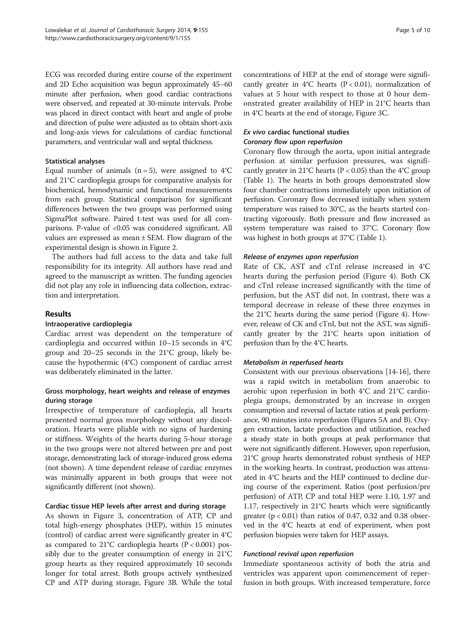ECG was recorded during entire course of the experiment and 2D Echo acquisition was begun approximately 45–60 minute after perfusion, when good cardiac contractions were observed, and repeated at 30-minute intervals. Probe was placed in direct contact with heart and angle of probe and direction of pulse were adjusted as to obtain short-axis and long-axis views for calculations of cardiac functional parameters, and ventricular wall and septal thickness.

#### Statistical analyses

Equal number of animals ( $n = 5$ ), were assigned to  $4^{\circ}$ C and 21°C cardioplegia groups for comparative analysis for biochemical, hemodynamic and functional measurements from each group. Statistical comparison for significant differences between the two groups was performed using SigmaPlot software. Paired t-test was used for all comparisons. P-value of <0.05 was considered significant. All values are expressed as mean ± SEM. Flow diagram of the experimental design is shown in Figure [2](#page-3-0).

The authors had full access to the data and take full responsibility for its integrity. All authors have read and agreed to the manuscript as written. The funding agencies did not play any role in influencing data collection, extraction and interpretation.

#### Results

#### Intraoperative cardioplegia

Cardiac arrest was dependent on the temperature of cardioplegia and occurred within 10–15 seconds in 4°C group and 20–25 seconds in the 21°C group, likely because the hypothermic (4°C) component of cardiac arrest was deliberately eliminated in the latter.

# Gross morphology, heart weights and release of enzymes during storage

Irrespective of temperature of cardioplegia, all hearts presented normal gross morphology without any discoloration. Hearts were pliable with no signs of hardening or stiffness. Weights of the hearts during 5-hour storage in the two groups were not altered between pre and post storage, demonstrating lack of storage-induced gross edema (not shown). A time dependent release of cardiac enzymes was minimally apparent in both groups that were not significantly different (not shown).

#### Cardiac tissue HEP levels after arrest and during storage

As shown in Figure [3,](#page-5-0) concentration of ATP, CP and total high-energy phosphates (HEP), within 15 minutes (control) of cardiac arrest were significantly greater in 4°C as compared to 21°C cardioplegia hearts ( $P < 0.001$ ) possibly due to the greater consumption of energy in 21°C group hearts as they required approximately 10 seconds longer for total arrest. Both groups actively synthesized CP and ATP during storage, Figure [3B](#page-5-0). While the total concentrations of HEP at the end of storage were significantly greater in  $4^{\circ}$ C hearts (P < 0.01), normalization of values at 5 hour with respect to those at 0 hour demonstrated greater availability of HEP in 21°C hearts than in 4°C hearts at the end of storage, Figure [3](#page-5-0)C.

#### Ex vivo cardiac functional studies Coronary flow upon reperfusion

Coronary flow through the aorta, upon initial antegrade perfusion at similar perfusion pressures, was significantly greater in 21°C hearts ( $P < 0.05$ ) than the 4°C group (Table [1](#page-5-0)). The hearts in both groups demonstrated slow four chamber contractions immediately upon initiation of perfusion. Coronary flow decreased initially when system temperature was raised to 30°C, as the hearts started contracting vigorously. Both pressure and flow increased as system temperature was raised to 37°C. Coronary flow was highest in both groups at 37°C (Table [1\)](#page-5-0).

#### Release of enzymes upon reperfusion

Rate of CK, AST and cTnI release increased in 4°C hearts during the perfusion period (Figure [4](#page-6-0)). Both CK and cTnI release increased significantly with the time of perfusion, but the AST did not. In contrast, there was a temporal decrease in release of these three enzymes in the 21°C hearts during the same period (Figure [4](#page-6-0)). However, release of CK and cTnI, but not the AST, was significantly greater by the 21°C hearts upon initiation of perfusion than by the 4°C hearts.

#### Metabolism in reperfused hearts

Consistent with our previous observations [[14-16\]](#page-9-0), there was a rapid switch in metabolism from anaerobic to aerobic upon reperfusion in both 4°C and 21°C cardioplegia groups, demonstrated by an increase in oxygen consumption and reversal of lactate ratios at peak performance, 90 minutes into reperfusion (Figures [5A](#page-6-0) and B). Oxygen extraction, lactate production and utilization, reached a steady state in both groups at peak performance that were not significantly different. However, upon reperfusion, 21°C group hearts demonstrated robust synthesis of HEP in the working hearts. In contrast, production was attenuated in 4°C hearts and the HEP continued to decline during course of the experiment. Ratios (post perfusion/pre perfusion) of ATP, CP and total HEP were 1.10, 1.97 and 1.17, respectively in 21°C hearts which were significantly greater ( $p < 0.01$ ) than ratios of 0.47, 0.32 and 0.38 observed in the 4°C hearts at end of experiment, when post perfusion biopsies were taken for HEP assays.

# Functional revival upon reperfusion

Immediate spontaneous activity of both the atria and ventricles was apparent upon commencement of reperfusion in both groups. With increased temperature, force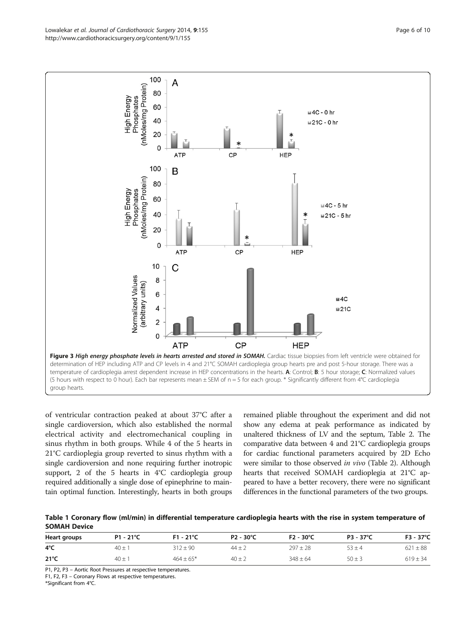<span id="page-5-0"></span>

of ventricular contraction peaked at about 37°C after a single cardioversion, which also established the normal electrical activity and electromechanical coupling in sinus rhythm in both groups. While 4 of the 5 hearts in 21°C cardioplegia group reverted to sinus rhythm with a single cardioversion and none requiring further inotropic support, 2 of the 5 hearts in 4°C cardioplegia group required additionally a single dose of epinephrine to maintain optimal function. Interestingly, hearts in both groups remained pliable throughout the experiment and did not show any edema at peak performance as indicated by unaltered thickness of LV and the septum, Table [2](#page-7-0). The comparative data between 4 and 21°C cardioplegia groups for cardiac functional parameters acquired by 2D Echo were similar to those observed in vivo (Table [2\)](#page-7-0). Although hearts that received SOMAH cardioplegia at 21°C appeared to have a better recovery, there were no significant differences in the functional parameters of the two groups.

Table 1 Coronary flow (ml/min) in differential temperature cardioplegia hearts with the rise in system temperature of SOMAH Device

| Heart groups  | $P1 - 21^{\circ}C$ | $F1 - 21^{\circ}C$ | P2 - 30°C  | $F2 - 30^{\circ}C$ | P3 - 37°C  | $F3 - 37^{\circ}C$ |
|---------------|--------------------|--------------------|------------|--------------------|------------|--------------------|
| 4°C           | $40 +$             | $312 + 90$         | $44 \pm 2$ | $297 + 28$         | $53 \pm 4$ | $621 \pm 88$       |
| $21^{\circ}C$ | $40 \pm 1$         | $464 \pm 65*$      | $40 \pm 2$ | $348 \pm 64$       | $50 \pm 3$ | $619 \pm 34$       |

P1, P2, P3 – Aortic Root Pressures at respective temperatures.

F1, F2, F3 – Coronary Flows at respective temperatures.

\*Significant from 4°C.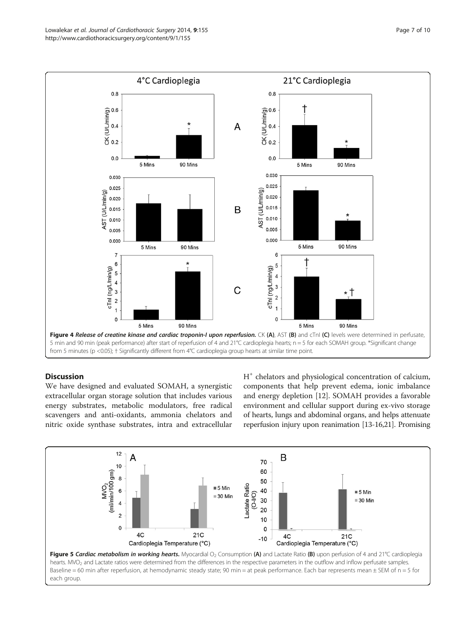<span id="page-6-0"></span>

# **Discussion**

We have designed and evaluated SOMAH, a synergistic extracellular organ storage solution that includes various energy substrates, metabolic modulators, free radical scavengers and anti-oxidants, ammonia chelators and nitric oxide synthase substrates, intra and extracellular H<sup>+</sup> chelators and physiological concentration of calcium, components that help prevent edema, ionic imbalance and energy depletion [[12\]](#page-9-0). SOMAH provides a favorable environment and cellular support during ex-vivo storage of hearts, lungs and abdominal organs, and helps attenuate reperfusion injury upon reanimation [\[13-16,21](#page-9-0)]. Promising

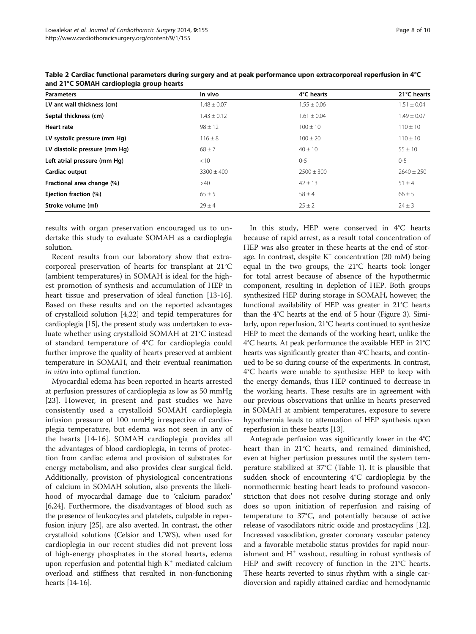| Page 8 of 10 |  |  |
|--------------|--|--|
|              |  |  |

| <b>Parameters</b>             | In vivo         | 4°C hearts      | 21°C hearts     |
|-------------------------------|-----------------|-----------------|-----------------|
| LV ant wall thickness (cm)    | $1.48 \pm 0.07$ | $1.55 \pm 0.06$ | $1.51 \pm 0.04$ |
| Septal thickness (cm)         | $1.43 \pm 0.12$ | $1.61 \pm 0.04$ | $1.49 \pm 0.07$ |
| Heart rate                    | $98 \pm 12$     | $100 \pm 10$    | $110 \pm 10$    |
| LV systolic pressure (mm Hg)  | $116 \pm 8$     | $100 \pm 20$    | $110 \pm 10$    |
| LV diastolic pressure (mm Hq) | $68 \pm 7$      | $40 \pm 10$     | $55 \pm 10$     |
| Left atrial pressure (mm Hq)  | <10             | $0 - 5$         | $0 - 5$         |
| Cardiac output                | $3300 \pm 400$  | $2500 \pm 300$  | $2640 \pm 250$  |
| Fractional area change (%)    | >40             | $42 \pm 13$     | $51 \pm 4$      |
| Ejection fraction (%)         | $65 \pm 5$      | $58 \pm 4$      | $66 \pm 5$      |
| Stroke volume (ml)            | $29 \pm 4$      | $25 \pm 2$      | $24 \pm 3$      |

<span id="page-7-0"></span>Table 2 Cardiac functional parameters during surgery and at peak performance upon extracorporeal reperfusion in 4°C and 21°C SOMAH cardioplegia group hearts

results with organ preservation encouraged us to undertake this study to evaluate SOMAH as a cardioplegia solution.

Recent results from our laboratory show that extracorporeal preservation of hearts for transplant at 21°C (ambient temperatures) in SOMAH is ideal for the highest promotion of synthesis and accumulation of HEP in heart tissue and preservation of ideal function [[13-16](#page-9-0)]. Based on these results and on the reported advantages of crystalloid solution [\[4,22](#page-9-0)] and tepid temperatures for cardioplegia [\[15](#page-9-0)], the present study was undertaken to evaluate whether using crystalloid SOMAH at 21°C instead of standard temperature of 4°C for cardioplegia could further improve the quality of hearts preserved at ambient temperature in SOMAH, and their eventual reanimation in vitro into optimal function.

Myocardial edema has been reported in hearts arrested at perfusion pressures of cardioplegia as low as 50 mmHg [[23\]](#page-9-0). However, in present and past studies we have consistently used a crystalloid SOMAH cardioplegia infusion pressure of 100 mmHg irrespective of cardioplegia temperature, but edema was not seen in any of the hearts [[14-16](#page-9-0)]. SOMAH cardioplegia provides all the advantages of blood cardioplegia, in terms of protection from cardiac edema and provision of substrates for energy metabolism, and also provides clear surgical field. Additionally, provision of physiological concentrations of calcium in SOMAH solution, also prevents the likelihood of myocardial damage due to 'calcium paradox' [[6,24](#page-9-0)]. Furthermore, the disadvantages of blood such as the presence of leukocytes and platelets, culpable in reperfusion injury [[25](#page-9-0)], are also averted. In contrast, the other crystalloid solutions (Celsior and UWS), when used for cardioplegia in our recent studies did not prevent loss of high-energy phosphates in the stored hearts, edema upon reperfusion and potential high  $K^+$  mediated calcium overload and stiffness that resulted in non-functioning hearts [[14](#page-9-0)-[16](#page-9-0)].

In this study, HEP were conserved in 4°C hearts because of rapid arrest, as a result total concentration of HEP was also greater in these hearts at the end of storage. In contrast, despite  $K^+$  concentration (20 mM) being equal in the two groups, the 21°C hearts took longer for total arrest because of absence of the hypothermic component, resulting in depletion of HEP. Both groups synthesized HEP during storage in SOMAH, however, the functional availability of HEP was greater in 21°C hearts than the 4°C hearts at the end of 5 hour (Figure [3\)](#page-5-0). Similarly, upon reperfusion, 21°C hearts continued to synthesize HEP to meet the demands of the working heart, unlike the 4°C hearts. At peak performance the available HEP in 21°C hearts was significantly greater than 4°C hearts, and continued to be so during course of the experiments. In contrast, 4°C hearts were unable to synthesize HEP to keep with the energy demands, thus HEP continued to decrease in the working hearts. These results are in agreement with our previous observations that unlike in hearts preserved in SOMAH at ambient temperatures, exposure to severe hypothermia leads to attenuation of HEP synthesis upon reperfusion in these hearts [[13](#page-9-0)].

Antegrade perfusion was significantly lower in the 4°C heart than in 21°C hearts, and remained diminished, even at higher perfusion pressures until the system temperature stabilized at 37°C (Table [1](#page-5-0)). It is plausible that sudden shock of encountering 4°C cardioplegia by the normothermic beating heart leads to profound vasoconstriction that does not resolve during storage and only does so upon initiation of reperfusion and raising of temperature to 37°C, and potentially because of active release of vasodilators nitric oxide and prostacyclins [[12](#page-9-0)]. Increased vasodilation, greater coronary vascular patency and a favorable metabolic status provides for rapid nourishment and  $H^+$  washout, resulting in robust synthesis of HEP and swift recovery of function in the 21°C hearts. These hearts reverted to sinus rhythm with a single cardioversion and rapidly attained cardiac and hemodynamic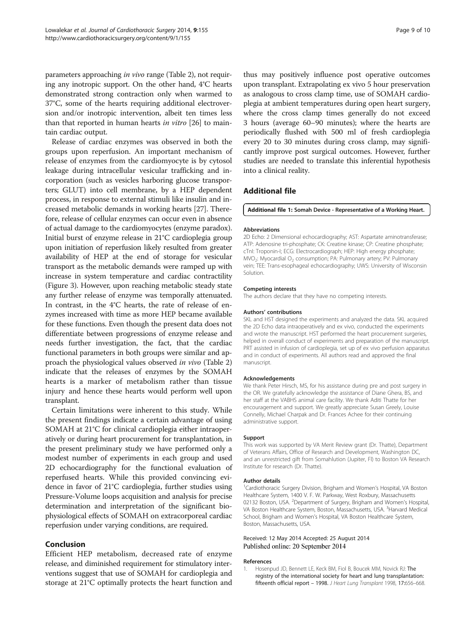<span id="page-8-0"></span>parameters approaching in vivo range (Table [2\)](#page-7-0), not requiring any inotropic support. On the other hand, 4°C hearts demonstrated strong contraction only when warmed to 37°C, some of the hearts requiring additional electroversion and/or inotropic intervention, albeit ten times less than that reported in human hearts in vitro [[26](#page-9-0)] to maintain cardiac output.

Release of cardiac enzymes was observed in both the groups upon reperfusion. An important mechanism of release of enzymes from the cardiomyocyte is by cytosol leakage during intracellular vesicular trafficking and incorporation (such as vesicles harboring glucose transporters; GLUT) into cell membrane, by a HEP dependent process, in response to external stimuli like insulin and increased metabolic demands in working hearts [[27](#page-9-0)]. Therefore, release of cellular enzymes can occur even in absence of actual damage to the cardiomyocytes (enzyme paradox). Initial burst of enzyme release in 21°C cardioplegia group upon initiation of reperfusion likely resulted from greater availability of HEP at the end of storage for vesicular transport as the metabolic demands were ramped up with increase in system temperature and cardiac contractility (Figure [3\)](#page-5-0). However, upon reaching metabolic steady state any further release of enzyme was temporally attenuated. In contrast, in the 4°C hearts, the rate of release of enzymes increased with time as more HEP became available for these functions. Even though the present data does not differentiate between progressions of enzyme release and needs further investigation, the fact, that the cardiac functional parameters in both groups were similar and approach the physiological values observed in vivo (Table [2](#page-7-0)) indicate that the releases of enzymes by the SOMAH hearts is a marker of metabolism rather than tissue injury and hence these hearts would perform well upon transplant.

Certain limitations were inherent to this study. While the present findings indicate a certain advantage of using SOMAH at 21°C for clinical cardioplegia either intraoperatively or during heart procurement for transplantation, in the present preliminary study we have performed only a modest number of experiments in each group and used 2D echocardiography for the functional evaluation of reperfused hearts. While this provided convincing evidence in favor of 21°C cardioplegia, further studies using Pressure-Volume loops acquisition and analysis for precise determination and interpretation of the significant biophysiological effects of SOMAH on extracorporeal cardiac reperfusion under varying conditions, are required.

# Conclusion

Efficient HEP metabolism, decreased rate of enzyme release, and diminished requirement for stimulatory interventions suggest that use of SOMAH for cardioplegia and storage at 21°C optimally protects the heart function and thus may positively influence post operative outcomes upon transplant. Extrapolating ex vivo 5 hour preservation as analogous to cross clamp time, use of SOMAH cardioplegia at ambient temperatures during open heart surgery, where the cross clamp times generally do not exceed 3 hours (average 60–90 minutes); where the hearts are periodically flushed with 500 ml of fresh cardioplegia every 20 to 30 minutes during cross clamp, may significantly improve post surgical outcomes. However, further studies are needed to translate this inferential hypothesis into a clinical reality.

# Additional file

[Additional file 1:](http://www.cardiothoracicsurgery.org/content/supplementary/s13019-014-0155-z-s1.zip) Somah Device - Representative of a Working Heart.

#### Abbreviations

2D Echo: 2 Dimensional echocardiography; AST: Aspartate aminotransferase; ATP: Adenosine tri-phosphate; CK: Creatine kinase; CP: Creatine phosphate; cTnI: Troponin-I; ECG: Electrocardiograph; HEP: High energy phosphate;  $MVO<sub>2</sub>$ : Myocardial  $O<sub>2</sub>$  consumption; PA: Pulmonary artery; PV: Pulmonary vein; TEE: Trans-esophageal echocardiography; UWS: University of Wisconsin Solution.

#### Competing interests

The authors declare that they have no competing interests.

#### Authors' contributions

SKL and HST designed the experiments and analyzed the data. SKL acquired the 2D Echo data intraoperatively and ex vivo, conducted the experiments and wrote the manuscript. HST performed the heart procurement surgeries, helped in overall conduct of experiments and preparation of the manuscript. PRT assisted in infusion of cardioplegia, set up of ex vivo perfusion apparatus and in conduct of experiments. All authors read and approved the final manuscript.

#### Acknowledgements

We thank Peter Hirsch, MS, for his assistance during pre and post surgery in the OR. We gratefully acknowledge the assistance of Diane Ghera, BS, and her staff at the VABHS animal care facility. We thank Aditi Thatte for her encouragement and support. We greatly appreciate Susan Greely, Louise Connelly, Michael Charpak and Dr. Frances Achee for their continuing administrative support.

#### Support

This work was supported by VA Merit Review grant (Dr. Thatte), Department of Veterans Affairs, Office of Research and Development, Washington DC, and an unrestricted gift from Somahlution (Jupiter, Fl) to Boston VA Research Institute for research (Dr. Thatte).

#### Author details

<sup>1</sup>Cardiothoracic Surgery Division, Brigham and Women's Hospital, VA Boston Healthcare System, 1400 V. F. W. Parkway, West Roxbury, Massachusetts 02132 Boston, USA. <sup>2</sup> Department of Surgery, Brigham and Women's Hospital VA Boston Healthcare System, Boston, Massachusetts, USA. <sup>3</sup>Harvard Medical School, Brigham and Women's Hospital, VA Boston Healthcare System, Boston, Massachusetts, USA.

#### Received: 12 May 2014 Accepted: 25 August 2014 Published online: 20 September 2014

#### References

1. Hosenpud JD, Bennett LE, Keck BM, Fiol B, Boucek MM, Novick RJ: The registry of the international society for heart and lung transplantation: fifteenth official report - 1998. J Heart Lung Transplant 1998, 17:656-668.